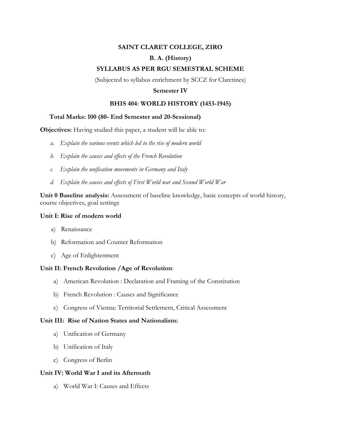# **SAINT CLARET COLLEGE, ZIRO B. A. (History)**

# **SYLLABUS AS PER RGU SEMESTRAL SCHEME**

(Subjected to syllabus enrichment by SCCZ for Claretines)

#### **Semester IV**

### **BHIS 404: WORLD HISTORY (1453-1945)**

### **Total Marks: 100 (80- End Semester and 20-Sessional)**

**Objectives:** Having studied this paper, a student will be able to:

- *a. Explain the various events which led to the rise of modern world*
- *b. Explain the causes and effects of the French Revolution*
- *c. Explain the unification movements in Germany and Italy*
- *d. Explain the causes and effects of First World war and Second World War*

**Unit 0 Baseline analysis:** Assessment of baseline knowledge, basic concepts of world history, course objectives, goal settings

#### **Unit I: Rise of modern world**

- a) Renaissance
- b) Reformation and Counter Reformation
- c) Age of Enlightenment

# **Unit II: French Revolution /Age of Revolution**:

- a) American Revolution : Declaration and Framing of the Constitution
- b) French Revolution : Causes and Significance
- c) Congress of Vienna: Territorial Settlement, Critical Assessment

#### **Unit III: Rise of Nation States and Nationalism:**

- a) Unification of Germany
- b) Unification of Italy
- c) Congress of Berlin

## **Unit IV: World War I and its Aftermath**

a) World War I: Causes and Effects